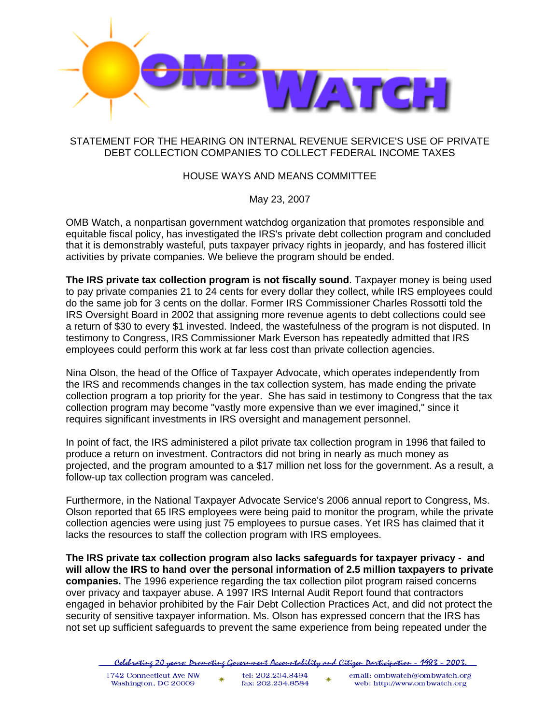

## STATEMENT FOR THE HEARING ON INTERNAL REVENUE SERVICE'S USE OF PRIVATE DEBT COLLECTION COMPANIES TO COLLECT FEDERAL INCOME TAXES

## HOUSE WAYS AND MEANS COMMITTEE

May 23, 2007

OMB Watch, a nonpartisan government watchdog organization that promotes responsible and equitable fiscal policy, has investigated the IRS's private debt collection program and concluded that it is demonstrably wasteful, puts taxpayer privacy rights in jeopardy, and has fostered illicit activities by private companies. We believe the program should be ended.

**The IRS private tax collection program is not fiscally sound**. Taxpayer money is being used to pay private companies 21 to 24 cents for every dollar they collect, while IRS employees could do the same job for 3 cents on the dollar. Former IRS Commissioner Charles Rossotti told the IRS Oversight Board in 2002 that assigning more revenue agents to debt collections could see a return of \$30 to every \$1 invested. Indeed, the wastefulness of the program is not disputed. In testimony to Congress, IRS Commissioner Mark Everson has repeatedly admitted that IRS employees could perform this work at far less cost than private collection agencies.

Nina Olson, the head of the Office of Taxpayer Advocate, which operates independently from the IRS and recommends changes in the tax collection system, has made ending the private collection program a top priority for the year. She has said in testimony to Congress that the tax collection program may become "vastly more expensive than we ever imagined," since it requires significant investments in IRS oversight and management personnel.

In point of fact, the IRS administered a pilot private tax collection program in 1996 that failed to produce a return on investment. Contractors did not bring in nearly as much money as projected, and the program amounted to a \$17 million net loss for the government. As a result, a follow-up tax collection program was canceled.

Furthermore, in the National Taxpayer Advocate Service's 2006 annual report to Congress, Ms. Olson reported that 65 IRS employees were being paid to monitor the program, while the private collection agencies were using just 75 employees to pursue cases. Yet IRS has claimed that it lacks the resources to staff the collection program with IRS employees.

**The IRS private tax collection program also lacks safeguards for taxpayer privacy - and will allow the IRS to hand over the personal information of 2.5 million taxpayers to private companies.** The 1996 experience regarding the tax collection pilot program raised concerns over privacy and taxpayer abuse. A 1997 IRS Internal Audit Report found that contractors engaged in behavior prohibited by the Fair Debt Collection Practices Act, and did not protect the security of sensitive taxpayer information. Ms. Olson has expressed concern that the IRS has not set up sufficient safeguards to prevent the same experience from being repeated under the

<sup>&</sup>lt;u> Celebratine 20 years: Dromotine Government Accountability and Citizen Darticipation - 1983 - 2003.</u>